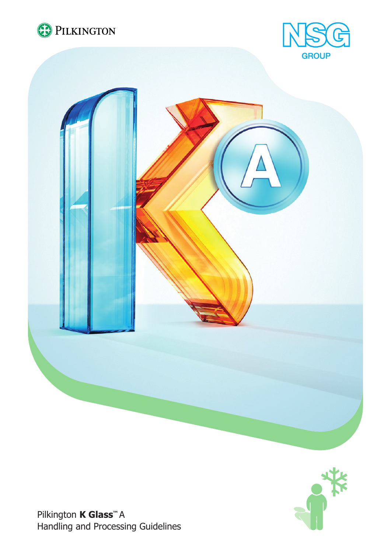







Pilkington **K Glass™** A Handling and Processing Guidelines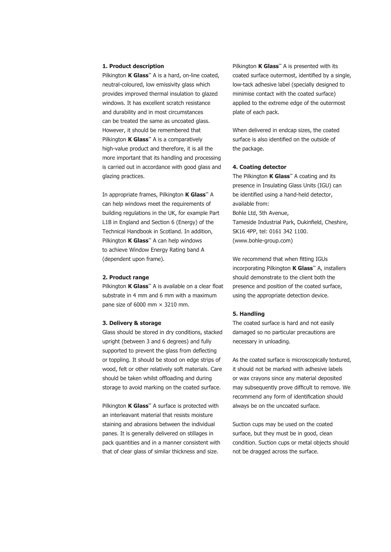## **1. Product description**

Pilkington **K Glass**<sup>™</sup> A is a hard, on-line coated, neutral-coloured, low emissivity glass which provides improved thermal insulation to glazed windows. It has excellent scratch resistance and durability and in most circumstances can be treated the same as uncoated glass. However, it should be remembered that Pilkington **K Glass™** A is a comparatively high-value product and therefore, it is all the more important that its handling and processing is carried out in accordance with good glass and glazing practices.

In appropriate frames, Pilkington **K Glass™** A can help windows meet the requirements of building regulations in the UK, for example Part L1B in England and Section 6 (Energy) of the Technical Handbook in Scotland. In addition, Pilkington **K Glass™** A can help windows to achieve Window Energy Rating band A (dependent upon frame).

## **2. Product range**

Pilkington **K Glass™** A is available on a clear float substrate in 4 mm and 6 mm with a maximum pane size of 6000 mm  $\times$  3210 mm.

#### **3. Delivery & storage**

Glass should be stored in dry conditions, stacked upright (between 3 and 6 degrees) and fully supported to prevent the glass from deflecting or toppling. It should be stood on edge strips of wood, felt or other relatively soft materials. Care should be taken whilst offloading and during storage to avoid marking on the coated surface.

Pilkington **K Glass**<sup>™</sup> A surface is protected with an interleavant material that resists moisture staining and abrasions between the individual panes. It is generally delivered on stillages in pack quantities and in a manner consistent with that of clear glass of similar thickness and size.

Pilkington **K Glass™** A is presented with its coated surface outermost, identified by a single, low-tack adhesive label (specially designed to minimise contact with the coated surface) applied to the extreme edge of the outermost plate of each pack.

When delivered in endcap sizes, the coated surface is also identified on the outside of the package.

#### **4. Coating detector**

The Pilkington **K Glass™** A coating and its presence in Insulating Glass Units (IGU) can be identified using a hand-held detector, available from: Bohle Ltd, 5th Avenue, Tameside Industrial Park, Dukinfield, Cheshire, SK16 4PP, tel: 0161 342 1100. (www.bohle-group.com)

We recommend that when fitting IGUs incorporating Pilkington **K Glass™** A, installers should demonstrate to the client both the presence and position of the coated surface, using the appropriate detection device.

#### **5. Handling**

The coated surface is hard and not easily damaged so no particular precautions are necessary in unloading.

As the coated surface is microscopically textured, it should not be marked with adhesive labels or wax crayons since any material deposited may subsequently prove difficult to remove. We recommend any form of identification should always be on the uncoated surface.

Suction cups may be used on the coated surface, but they must be in good, clean condition. Suction cups or metal objects should not be dragged across the surface.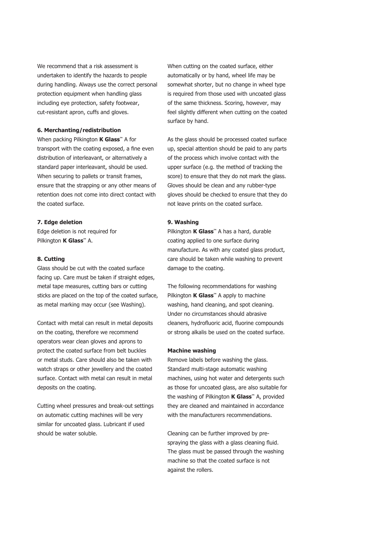We recommend that a risk assessment is undertaken to identify the hazards to people during handling. Always use the correct personal protection equipment when handling glass including eye protection, safety footwear, cut-resistant apron, cuffs and gloves.

#### **6. Merchanting/redistribution**

When packing Pilkington **K Glass™** A for transport with the coating exposed, a fine even distribution of interleavant, or alternatively a standard paper interleavant, should be used. When securing to pallets or transit frames, ensure that the strapping or any other means of retention does not come into direct contact with the coated surface.

## **7. Edge deletion**

Edge deletion is not required for Pilkington **K Glass™** A.

### **8. Cutting**

Glass should be cut with the coated surface facing up. Care must be taken if straight edges, metal tape measures, cutting bars or cutting sticks are placed on the top of the coated surface, as metal marking may occur (see Washing).

Contact with metal can result in metal deposits on the coating, therefore we recommend operators wear clean gloves and aprons to protect the coated surface from belt buckles or metal studs. Care should also be taken with watch straps or other jewellery and the coated surface. Contact with metal can result in metal deposits on the coating.

Cutting wheel pressures and break-out settings on automatic cutting machines will be very similar for uncoated glass. Lubricant if used should be water soluble.

When cutting on the coated surface, either automatically or by hand, wheel life may be somewhat shorter, but no change in wheel type is required from those used with uncoated glass of the same thickness. Scoring, however, may feel slightly different when cutting on the coated surface by hand.

As the glass should be processed coated surface up, special attention should be paid to any parts of the process which involve contact with the upper surface (e.g. the method of tracking the score) to ensure that they do not mark the glass. Gloves should be clean and any rubber-type gloves should be checked to ensure that they do not leave prints on the coated surface.

#### **9. Washing**

Pilkington **K Glass™** A has a hard, durable coating applied to one surface during manufacture. As with any coated glass product, care should be taken while washing to prevent damage to the coating.

The following recommendations for washing Pilkington **K Glass™** A apply to machine washing, hand cleaning, and spot cleaning. Under no circumstances should abrasive cleaners, hydrofluoric acid, fluorine compounds or strong alkalis be used on the coated surface.

#### **Machine washing**

Remove labels before washing the glass. Standard multi-stage automatic washing machines, using hot water and detergents such as those for uncoated glass, are also suitable for the washing of Pilkington **K Glass™** A, provided they are cleaned and maintained in accordance with the manufacturers recommendations.

Cleaning can be further improved by prespraying the glass with a glass cleaning fluid. The glass must be passed through the washing machine so that the coated surface is not against the rollers.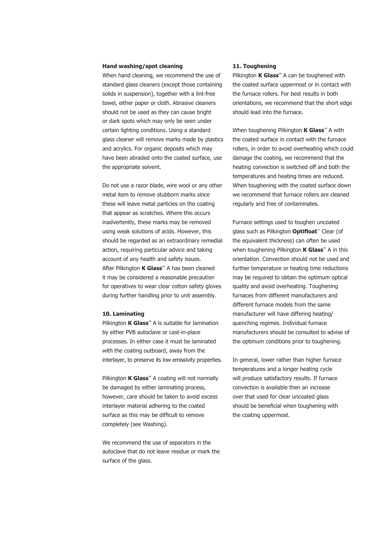# **Hand washing/spot cleaning**

When hand cleaning, we recommend the use of standard glass cleaners (except those containing solids in suspension), together with a lint-free towel, either paper or cloth. Abrasive cleaners should not be used as they can cause bright or dark spots which may only be seen under certain lighting conditions. Using a standard glass cleaner will remove marks made by plastics and acrylics. For organic deposits which may have been abraded onto the coated surface, use the appropriate solvent.

Do not use a razor blade, wire wool or any other metal item to remove stubborn marks since these will leave metal particles on the coating that appear as scratches. Where this occurs inadvertently, these marks may be removed using weak solutions of acids. However, this should be regarded as an extraordinary remedial action, requiring particular advice and taking account of any health and safety issues. After Pilkington **K Glass™** A has been cleaned it may be considered a reasonable precaution for operatives to wear clear cotton safety gloves during further handling prior to unit assembly.

#### **10. Laminating**

Pilkington **K Glass™** A is suitable for lamination by either PVB autoclave or cast-in-place processes. In either case it must be laminated with the coating outboard, away from the interlayer, to preserve its low emissivity properties.

Pilkington **K Glass**™ A coating will not normally be damaged by either laminating process, however, care should be taken to avoid excess interlayer material adhering to the coated surface as this may be difficult to remove completely (see Washing).

We recommend the use of separators in the autoclave that do not leave residue or mark the surface of the glass.

# **11. Toughening**

Pilkington **K Glass™** A can be toughened with the coated surface uppermost or in contact with the furnace rollers. For best results in both orientations, we recommend that the short edge should lead into the furnace.

When toughening Pilkington **K Glass™** A with the coated surface in contact with the furnace rollers, in order to avoid overheating which could damage the coating, we recommend that the heating convection is switched off and both the temperatures and heating times are reduced. When toughening with the coated surface down we recommend that furnace rollers are cleaned regularly and free of contaminates.

Furnace settings used to toughen uncoated glass such as Pilkington **Optifloat**™ Clear (of the equivalent thickness) can often be used when toughening Pilkington **K Glass™** A in this orientation. Convection should not be used and further temperature or heating time reductions may be required to obtain the optimum optical quality and avoid overheating. Toughening furnaces from different manufacturers and different furnace models from the same manufacturer will have differing heating/ quenching regimes. Individual furnace manufacturers should be consulted to advise of the optimum conditions prior to toughening.

In general, lower rather than higher furnace temperatures and a longer heating cycle will produce satisfactory results. If furnace convection is available then an increase over that used for clear uncoated glass should be beneficial when toughening with the coating uppermost.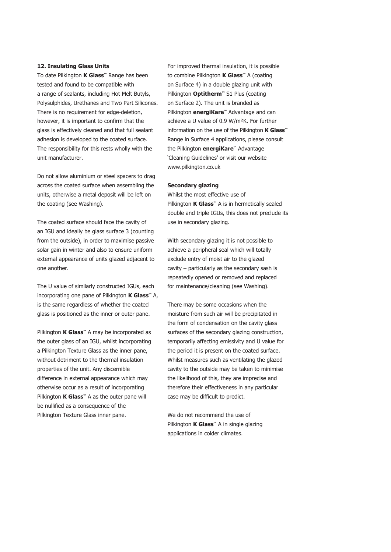## **12. Insulating Glass Units**

To date Pilkington **K Glass™** Range has been tested and found to be compatible with a range of sealants, including Hot Melt Butyls, Polysulphides, Urethanes and Two Part Silicones. There is no requirement for edge-deletion, however, it is important to confirm that the glass is effectively cleaned and that full sealant adhesion is developed to the coated surface. The responsibility for this rests wholly with the unit manufacturer.

Do not allow aluminium or steel spacers to drag across the coated surface when assembling the units, otherwise a metal deposit will be left on the coating (see Washing).

The coated surface should face the cavity of an IGU and ideally be glass surface 3 (counting from the outside), in order to maximise passive solar gain in winter and also to ensure uniform external appearance of units glazed adjacent to one another.

The U value of similarly constructed IGUs, each incorporating one pane of Pilkington **K Glass™** A, is the same regardless of whether the coated glass is positioned as the inner or outer pane.

Pilkington **K Glass™** A may be incorporated as the outer glass of an IGU, whilst incorporating a Pilkington Texture Glass as the inner pane, without detriment to the thermal insulation properties of the unit. Any discernible difference in external appearance which may otherwise occur as a result of incorporating Pilkington **K Glass™** A as the outer pane will be nullified as a consequence of the Pilkington Texture Glass inner pane.

For improved thermal insulation, it is possible to combine Pilkington **K Glass™** A (coating on Surface 4) in a double glazing unit with Pilkington **Optitherm™** S1 Plus (coating on Surface 2). The unit is branded as Pilkington **energiKare™** Advantage and can achieve a U value of 0.9 W/m²K. For further information on the use of the Pilkington **K Glass™** Range in Surface 4 applications, please consult the Pilkington **energiKare™** Advantage 'Cleaning Guidelines' or visit our website www.pilkington.co.uk

### **Secondary glazing**

Whilst the most effective use of Pilkington **K Glass™** A is in hermetically sealed double and triple IGUs, this does not preclude its use in secondary glazing.

With secondary glazing it is not possible to achieve a peripheral seal which will totally exclude entry of moist air to the glazed cavity – particularly as the secondary sash is repeatedly opened or removed and replaced for maintenance/cleaning (see Washing).

There may be some occasions when the moisture from such air will be precipitated in the form of condensation on the cavity glass surfaces of the secondary glazing construction, temporarily affecting emissivity and U value for the period it is present on the coated surface. Whilst measures such as ventilating the glazed cavity to the outside may be taken to minimise the likelihood of this, they are imprecise and therefore their effectiveness in any particular case may be difficult to predict.

We do not recommend the use of Pilkington **K Glass™** A in single glazing applications in colder climates.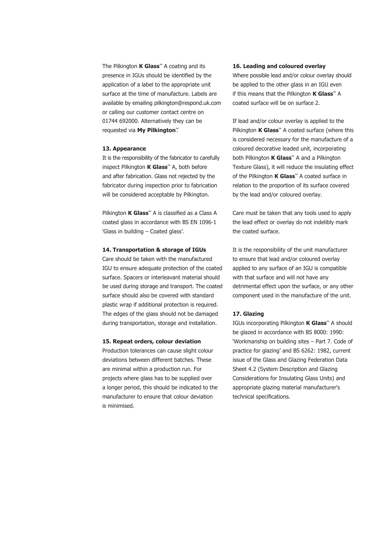The Pilkington **K Glass™** A coating and its presence in IGUs should be identified by the application of a label to the appropriate unit surface at the time of manufacture. Labels are available by emailing pilkington@respond.uk.com or calling our customer contact centre on 01744 692000. Alternatively they can be requested via **My Pilkington™**.

## **13. Appearance**

It is the responsibility of the fabricator to carefully inspect Pilkington **K Glass™** A, both before and after fabrication. Glass not rejected by the fabricator during inspection prior to fabrication will be considered acceptable by Pilkington.

Pilkington **K Glass™** A is classified as a Class A coated glass in accordance with BS EN 1096-1 'Glass in building – Coated glass'.

## **14. Transportation & storage of IGUs**

Care should be taken with the manufactured IGU to ensure adequate protection of the coated surface. Spacers or interleavant material should be used during storage and transport. The coated surface should also be covered with standard plastic wrap if additional protection is required. The edges of the glass should not be damaged during transportation, storage and installation.

## **15. Repeat orders, colour deviation**

Production tolerances can cause slight colour deviations between different batches. These are minimal within a production run. For projects where glass has to be supplied over a longer period, this should be indicated to the manufacturer to ensure that colour deviation is minimised.

## **16. Leading and coloured overlay**

Where possible lead and/or colour overlay should be applied to the other glass in an IGU even if this means that the Pilkington **K Glass™** A coated surface will be on surface 2.

If lead and/or colour overlay is applied to the Pilkington **K Glass™** A coated surface (where this is considered necessary for the manufacture of a coloured decorative leaded unit, incorporating both Pilkington **K Glass™** A and a Pilkington Texture Glass), it will reduce the insulating effect of the Pilkington **K Glass™** A coated surface in relation to the proportion of its surface covered by the lead and/or coloured overlay.

Care must be taken that any tools used to apply the lead effect or overlay do not indelibly mark the coated surface.

It is the responsibility of the unit manufacturer to ensure that lead and/or coloured overlay applied to any surface of an IGU is compatible with that surface and will not have any detrimental effect upon the surface, or any other component used in the manufacture of the unit.

# **17. Glazing**

IGUs incorporating Pilkington **K Glass™** A should be glazed in accordance with BS 8000: 1990: 'Workmanship on building sites – Part 7. Code of practice for glazing' and BS 6262: 1982, current issue of the Glass and Glazing Federation Data Sheet 4.2 (System Description and Glazing Considerations for Insulating Glass Units) and appropriate glazing material manufacturer's technical specifications.